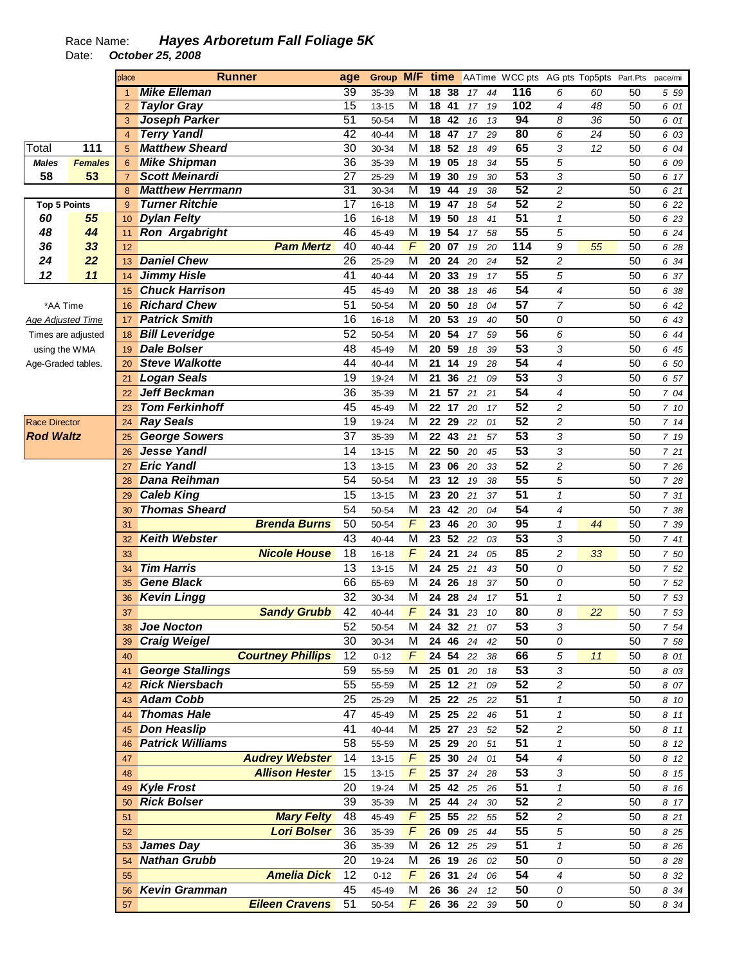## Race Name: **Hayes Arboretum Fall Foliage 5K**  Date: **October 25, 2008**

|                          |                | place          |                         | <b>Runner</b>            | age             |           |                         |                       |       |    | <b>Group M/F time</b> AATime WCC pts AG pts Top5pts Part.Pts |                     |    |                 | pace/mi |
|--------------------------|----------------|----------------|-------------------------|--------------------------|-----------------|-----------|-------------------------|-----------------------|-------|----|--------------------------------------------------------------|---------------------|----|-----------------|---------|
|                          |                | $\mathbf{1}$   | <b>Mike Elleman</b>     |                          | $\overline{39}$ | 35-39     | M                       | 18 38                 | 17    | 44 | 116                                                          | 6                   | 60 | 50              | 5 59    |
|                          |                | $\overline{2}$ | <b>Taylor Gray</b>      |                          | 15              | $13 - 15$ | $\overline{\mathsf{M}}$ | $\overline{18}$<br>41 | 17    | 19 | 102                                                          | $\overline{4}$      | 48 | 50              | 6 01    |
|                          |                | 3              | <b>Joseph Parker</b>    |                          | $\overline{51}$ | 50-54     | $\overline{M}$          | 18<br>42              | 16    | 13 | 94                                                           | 8                   | 36 | 50              | 6 01    |
|                          |                | $\overline{4}$ | <b>Terry Yandl</b>      |                          | 42              | $40 - 44$ | $\overline{M}$          | 18<br>47              | 17    | 29 | 80                                                           | 6                   | 24 | 50              | 6 03    |
| Total                    | 111            | 5              | <b>Matthew Sheard</b>   |                          | $\overline{30}$ | 30-34     | $\overline{M}$          | 52<br>18              | 18    | 49 | 65                                                           | 3                   | 12 | 50              | 6 04    |
| <b>Males</b>             | <b>Females</b> | 6              | <b>Mike Shipman</b>     |                          | $\overline{36}$ | 35-39     | M                       | 19<br>05              | 18    | 34 | 55                                                           | 5                   |    | 50              | 6 09    |
| 58                       | 53             | $\overline{7}$ | <b>Scott Meinardi</b>   |                          | $\overline{27}$ | 25-29     | $\overline{M}$          | 19<br>30              | 19    | 30 | 53                                                           | 3                   |    | 50              | 6 17    |
|                          |                | 8              | <b>Matthew Herrmann</b> |                          | 31              | 30-34     | $\overline{M}$          | 19<br>44              | 19    | 38 | 52                                                           | $\overline{2}$      |    | 50              | 6 21    |
| <b>Top 5 Points</b>      |                | 9              | <b>Turner Ritchie</b>   |                          | 17              | $16 - 18$ | $\overline{M}$          | 19<br>47              | 18    | 54 | 52                                                           | $\overline{2}$      |    | 50              | 6 22    |
| 60                       | 55             | 10             | <b>Dylan Felty</b>      |                          | 16              | $16 - 18$ | $\overline{M}$          | 19<br>50              | 18    | 41 | $\overline{51}$                                              | $\mathbf{1}$        |    | 50              | 6 23    |
| 48                       | 44             | 11             | <b>Ron Argabright</b>   |                          | 46              | 45-49     | $\overline{M}$          | 19<br>$\overline{54}$ | 17    | 58 | 55                                                           | 5                   |    | $\overline{50}$ | 6 24    |
| 36                       | 33             | 12             |                         | <b>Pam Mertz</b>         | 40              | 40-44     | F                       | 20<br>07              | 19    | 20 | 114                                                          | 9                   | 55 | 50              | 6 28    |
| 24                       | 22             | 13             | <b>Daniel Chew</b>      |                          | 26              | 25-29     | M                       | 20<br>24              | 20    | 24 | 52                                                           | $\overline{c}$      |    | 50              | 6 34    |
| 12                       | 11             | 14             | <b>Jimmy Hisle</b>      |                          | 41              | 40-44     | M                       | 20<br>33              | 19    | 17 | $\overline{55}$                                              | 5                   |    | 50              | 6 37    |
|                          |                | 15             | <b>Chuck Harrison</b>   |                          | 45              | 45-49     | M                       | 20<br>38              | 18    | 46 | 54                                                           | $\overline{4}$      |    | 50              | 6 38    |
| *AA Time                 |                | 16             | <b>Richard Chew</b>     |                          | 51              | 50-54     | M                       | 50<br>20              | 18    | 04 | $\overline{57}$                                              | $\overline{7}$      |    | 50              | 6 42    |
| <b>Age Adjusted Time</b> |                | 17             | <b>Patrick Smith</b>    |                          | 16              | $16 - 18$ | M                       | 20<br>53              | 19    | 40 | 50                                                           | 0                   |    | 50              | 6 43    |
| Times are adjusted       |                | 18             | <b>Bill Leveridge</b>   |                          | 52              | 50-54     | M                       | 20 54                 | 17    | 59 | 56                                                           | 6                   |    | 50              | 6 44    |
| using the WMA            |                | 19             | <b>Dale Bolser</b>      |                          | 48              | 45-49     | M                       | 20<br>59              | 18    | 39 | 53                                                           | 3                   |    | 50              | 6 45    |
| Age-Graded tables.       |                | 20             | <b>Steve Walkotte</b>   |                          | 44              | 40-44     | M                       | 21<br>14              | 19    | 28 | 54                                                           | $\overline{4}$      |    | 50              | 6 50    |
|                          |                | 21             | <b>Logan Seals</b>      |                          | 19              | 19-24     | M                       | 21<br>36              | 21    | 09 | 53                                                           | 3                   |    | 50              | 6 57    |
|                          |                | 22             | <b>Jeff Beckman</b>     |                          | 36              | 35-39     | M                       | 57<br>21              | 21    | 21 | 54                                                           | $\overline{4}$      |    | 50              | 7 04    |
|                          |                | 23             | <b>Tom Ferkinhoff</b>   |                          | 45              | 45-49     | M                       | 22 17                 | 20    | 17 | 52                                                           | $\overline{c}$      |    | 50              | 7 10    |
| <b>Race Director</b>     |                | 24             | <b>Ray Seals</b>        |                          | 19              | 19-24     | M                       | 22<br>29              | 22    | 01 | 52                                                           | $\overline{c}$      |    | 50              | 714     |
| <b>Rod Waltz</b>         |                |                | <b>George Sowers</b>    |                          | 37              | 35-39     | M                       | 22 43                 | 21    | 57 | $\overline{53}$                                              | 3                   |    | 50              | 7 19    |
|                          |                | 25             | <b>Jesse Yandl</b>      |                          | 14              |           | M                       | 22<br>50              | 20    | 45 | 53                                                           | 3                   |    | 50              |         |
|                          |                | 26             | <b>Eric Yandl</b>       |                          | 13              | $13 - 15$ | M                       |                       |       |    | 52                                                           |                     |    |                 | 7 21    |
|                          |                | 27             |                         |                          | 54              | $13 - 15$ |                         | 23<br>06              | 20    | 33 | $\overline{55}$                                              | $\overline{c}$      |    | 50              | 7 26    |
|                          |                | 28             | Dana Reihman            |                          |                 | 50-54     | M                       | 23<br>12              | 19    | 38 |                                                              | 5                   |    | 50              | 7 28    |
|                          |                | 29             | <b>Caleb King</b>       |                          | 15              | $13 - 15$ | M                       | 23<br>20              | 21    | 37 | 51                                                           | 1                   |    | 50              | 7 31    |
|                          |                | 30             | <b>Thomas Sheard</b>    |                          | 54              | 50-54     | M                       | 23<br>42              | 20    | 04 | 54                                                           | $\overline{4}$      |    | 50              | 7 38    |
|                          |                | 31             |                         | <b>Brenda Burns</b>      | 50              | 50-54     | F                       | 23<br>46              | 20    | 30 | 95                                                           | $\mathbf{1}$        | 44 | 50              | 7 39    |
|                          |                | 32             | <b>Keith Webster</b>    |                          | 43              | 40-44     | M                       | 52<br>23              | 22    | 03 | 53                                                           | 3                   |    | 50              | 741     |
|                          |                | 33             |                         | <b>Nicole House</b>      | 18              | $16 - 18$ | F                       | 24<br>21              | 24    | 05 | 85                                                           | $\overline{c}$      | 33 | 50              | 7 50    |
|                          |                | 34             | <b>Tim Harris</b>       |                          | 13              | $13 - 15$ | M                       | 24<br>25              | 21    | 43 | 50                                                           | 0                   |    | 50              | 7 52    |
|                          |                | 35             | <b>Gene Black</b>       |                          | 66              | 65-69     | M                       | 24 26                 | 18    | 37 | 50                                                           | 0                   |    | 50              | 7 52    |
|                          |                | 36             | <b>Kevin Lingg</b>      |                          | 32              | 30-34     | M                       | 24<br>28              | 24    | 17 | 51                                                           | 1                   |    | 50              | 7 53    |
|                          |                | 37             |                         | <b>Sandy Grubb</b>       | 42              | 40-44     | F                       | 24 31                 | 23    | 10 | 80                                                           | 8                   | 22 | 50              | 7 53    |
|                          |                | 38             | <b>Joe Nocton</b>       |                          | 52              | 50-54     | M                       | 24 32                 | 21    | 07 | 53                                                           | 3                   |    | 50              | 7 54    |
|                          |                | 39             | <b>Craig Weigel</b>     |                          | 30              | 30-34     | M                       | 24 46                 | 24 42 |    | 50                                                           | 0                   |    | 50              | 7 58    |
|                          |                | 40             |                         | <b>Courtney Phillips</b> | 12              | $0 - 12$  | $\sqrt{ }$              | 24 54                 | 22    | 38 | 66                                                           | $\sqrt{5}$          | 11 | 50              | 8 01    |
|                          |                | 41             | <b>George Stallings</b> |                          | 59              | 55-59     | M                       | 25 01                 | 20 18 |    | 53                                                           | 3                   |    | 50              | 8 0 3   |
|                          |                | 42             | <b>Rick Niersbach</b>   |                          | 55              | 55-59     | M                       | 25 12 21              |       | 09 | 52                                                           | $\overline{c}$      |    | 50              | 8 07    |
|                          |                | 43             | <b>Adam Cobb</b>        |                          | 25              | 25-29     | M                       | 25 22                 | 25    | 22 | 51                                                           | $\mathbf{1}$        |    | 50              | 8 10    |
|                          |                | 44             | <b>Thomas Hale</b>      |                          | 47              | 45-49     | M                       | 25 25                 | 22    | 46 | 51                                                           | $\pmb{\mathcal{1}}$ |    | 50              | 8 11    |
|                          |                | 45             | <b>Don Heaslip</b>      |                          | 41              | 40-44     | M                       | 25 27                 | 23    | 52 | 52                                                           | $\overline{c}$      |    | 50              | 8 11    |
|                          |                | 46             | <b>Patrick Williams</b> |                          | 58              | 55-59     | M                       | 25 29                 | 20 51 |    | 51                                                           | $\mathbf{1}$        |    | 50              | 8 12    |
|                          |                | 47             |                         | <b>Audrey Webster</b>    | 14              | $13 - 15$ | $\sqrt{ }$              | 25 30                 | 24 01 |    | 54                                                           | 4                   |    | 50              | 8 12    |
|                          |                | 48             |                         | <b>Allison Hester</b>    | 15              | $13 - 15$ | $\sqrt{ }$              | 25 37                 | 24 28 |    | 53                                                           | 3                   |    | 50              | 8 15    |
|                          |                | 49             | <b>Kyle Frost</b>       |                          | 20              | 19-24     | M                       | 25 42                 | 25 26 |    | 51                                                           | $\mathbf{1}$        |    | 50              | 8 16    |
|                          |                | 50             | <b>Rick Bolser</b>      |                          | 39              | 35-39     | M                       | 25 44                 | 24 30 |    | 52                                                           | $\overline{c}$      |    | 50              | 8 17    |
|                          |                | 51             |                         | <b>Mary Felty</b>        | 48              | 45-49     | $\sqrt{ }$              | 25 55                 | 22    | 55 | 52                                                           | $\overline{c}$      |    | 50              | 8 21    |
|                          |                | 52             |                         | <b>Lori Bolser</b>       | 36              | 35-39     | $\sqrt{ }$              | 26 09                 | 25    | 44 | 55                                                           | $\sqrt{5}$          |    | 50              | 8 2 5   |
|                          |                | 53             | James Day               |                          | 36              | 35-39     | M                       | 26 12 25 29           |       |    | 51                                                           | $\pmb{\mathcal{1}}$ |    | 50              | 8 2 6   |
|                          |                | 54             | <b>Nathan Grubb</b>     |                          | 20              | 19-24     | M                       | 26 19                 | 26    | 02 | 50                                                           | 0                   |    | 50              | 8 2 8   |
|                          |                | 55             |                         | <b>Amelia Dick</b>       | 12              | $0 - 12$  | $\sqrt{ }$              | 26 31                 | 24 06 |    | 54                                                           | 4                   |    | 50              | 8 32    |
|                          |                | 56             | <b>Kevin Gramman</b>    |                          | 45              | 45-49     | M                       | 26 36                 | 24 12 |    | 50                                                           | 0                   |    | 50              | 8 34    |
|                          |                | 57             |                         | <b>Eileen Cravens</b>    | 51              | 50-54     | $\sqrt{ }$              | 26 36 22              |       | 39 | 50                                                           | 0                   |    | 50              | 8 34    |
|                          |                |                |                         |                          |                 |           |                         |                       |       |    |                                                              |                     |    |                 |         |